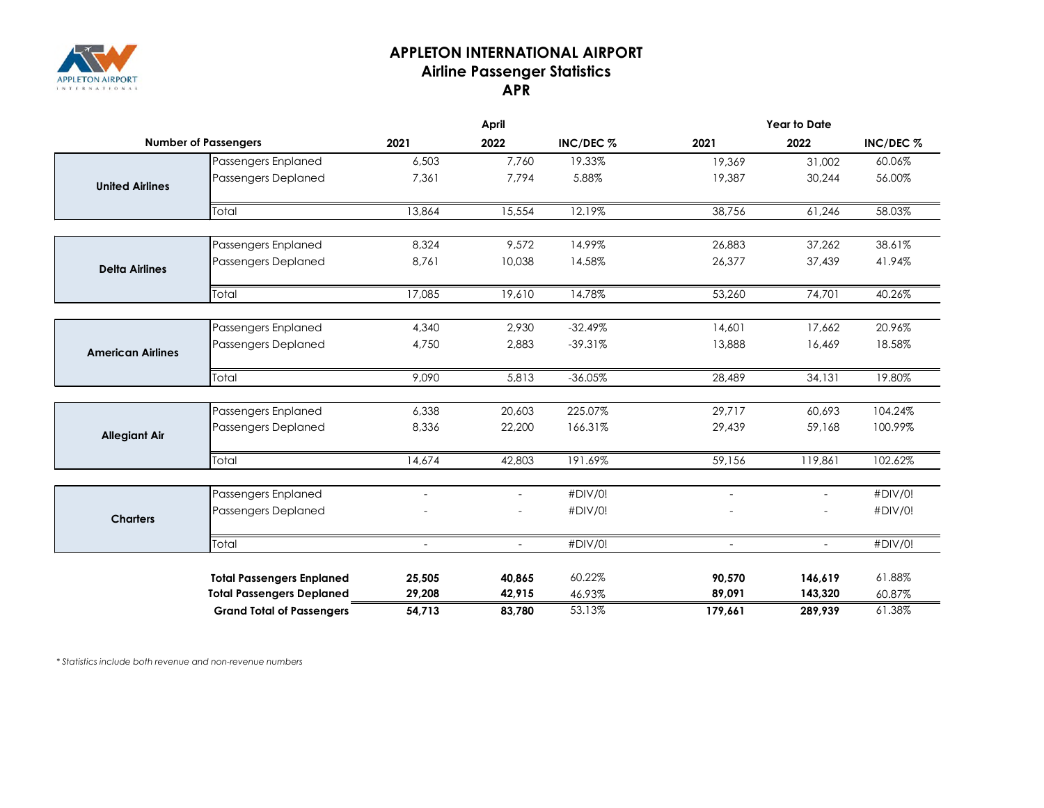

## **APPLETON INTERNATIONAL AIRPORT Airline Passenger Statistics APR**

|                             |                                  | <b>April</b>   |                | <b>Year to Date</b> |                |                |           |
|-----------------------------|----------------------------------|----------------|----------------|---------------------|----------------|----------------|-----------|
| <b>Number of Passengers</b> |                                  | 2021           | 2022           | INC/DEC %           | 2021           | 2022           | INC/DEC % |
|                             | Passengers Enplaned              | 6,503          | 7,760          | 19.33%              | 19,369         | 31,002         | 60.06%    |
| <b>United Airlines</b>      | Passengers Deplaned              | 7,361          | 7,794          | 5.88%               | 19,387         | 30,244         | 56.00%    |
|                             | Total                            | 13,864         | 15,554         | 12.19%              | 38,756         | 61,246         | 58.03%    |
|                             | Passengers Enplaned              | 8,324          | 9,572          | 14.99%              | 26,883         | 37,262         | 38.61%    |
| <b>Delta Airlines</b>       | Passengers Deplaned              | 8,761          | 10,038         | 14.58%              | 26,377         | 37,439         | 41.94%    |
|                             | Total                            | 17,085         | 19,610         | 14.78%              | 53,260         | 74,701         | 40.26%    |
|                             |                                  |                |                |                     |                |                |           |
|                             | Passengers Enplaned              | 4,340          | 2,930          | $-32.49%$           | 14,601         | 17,662         | 20.96%    |
| <b>American Airlines</b>    | <b>Passengers Deplaned</b>       | 4,750          | 2,883          | $-39.31%$           | 13,888         | 16,469         | 18.58%    |
|                             | Total                            | 9,090          | 5,813          | $-36.05%$           | 28,489         | 34,131         | 19.80%    |
|                             | Passengers Enplaned              | 6,338          | 20,603         | 225.07%             | 29,717         | 60,693         | 104.24%   |
| <b>Allegiant Air</b>        | Passengers Deplaned              | 8,336          | 22,200         | 166.31%             | 29,439         | 59,168         | 100.99%   |
|                             | Total                            | 14,674         | 42,803         | 191.69%             | 59,156         | 119,861        | 102.62%   |
|                             | Passengers Enplaned              | $\overline{a}$ | $\sim$         | #DIV/0!             | $\sim$         | $\sim$         | #DIV/0!   |
| <b>Charters</b>             | Passengers Deplaned              |                | $\blacksquare$ | #DIV/0!             |                | $\blacksquare$ | #DIV/0!   |
|                             | Total                            | $\blacksquare$ | $\sim$         | #DIV/0!             | $\blacksquare$ | $\sim$         | #DIV/0!   |
|                             |                                  |                |                |                     |                |                |           |
|                             | <b>Total Passengers Enplaned</b> | 25,505         | 40,865         | 60.22%              | 90,570         | 146,619        | 61.88%    |
|                             | <b>Total Passengers Deplaned</b> | 29,208         | 42,915         | 46.93%              | 89,091         | 143,320        | 60.87%    |
|                             | <b>Grand Total of Passengers</b> | 54,713         | 83,780         | 53.13%              | 179,661        | 289,939        | 61.38%    |

*\* Statistics include both revenue and non-revenue numbers*